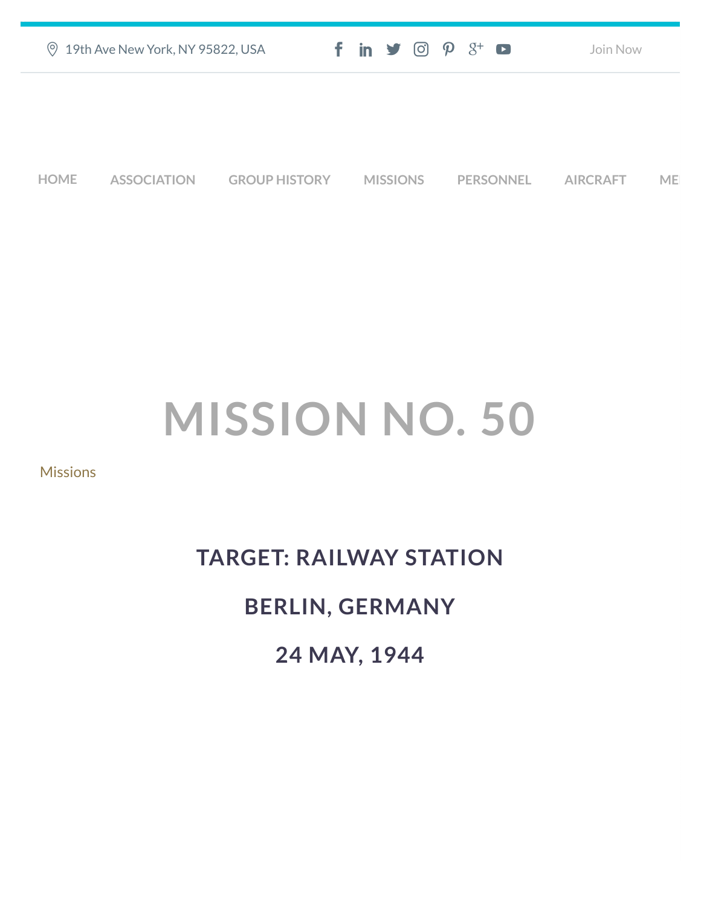| ◎ 19th Ave New York, NY 95822, USA | $f$ in $\mathcal{I}$ $\odot$ $\mathcal{P}$ $\mathcal{S}^+$ $\bullet$ | Join Now |
|------------------------------------|----------------------------------------------------------------------|----------|
|                                    |                                                                      |          |
|                                    |                                                                      |          |

**[HOME](https://457thbombgroupassoc.org/)** [ASSOCIATION](https://457thbombgroupassoc.org/mission-no-50/#) [GROUP HISTORY](https://457thbombgroupassoc.org/mission-no-50/#) [MISSIONS](https://457thbombgroupassoc.org/mission-no-50/#) [PERSONNEL](https://457thbombgroupassoc.org/mission-no-50/#) [AIRCRAFT](https://457thbombgroupassoc.org/mission-no-50/#) [MED](https://457thbombgroupassoc.org/mission-no-50/#)

## **MISSION NO. 50**

**[Missions](https://457thbombgroupassoc.org/category/missions/)** 

## **TARGET: RAILWAY STATION BERLIN, GERMANY**

**24 MAY, 1944**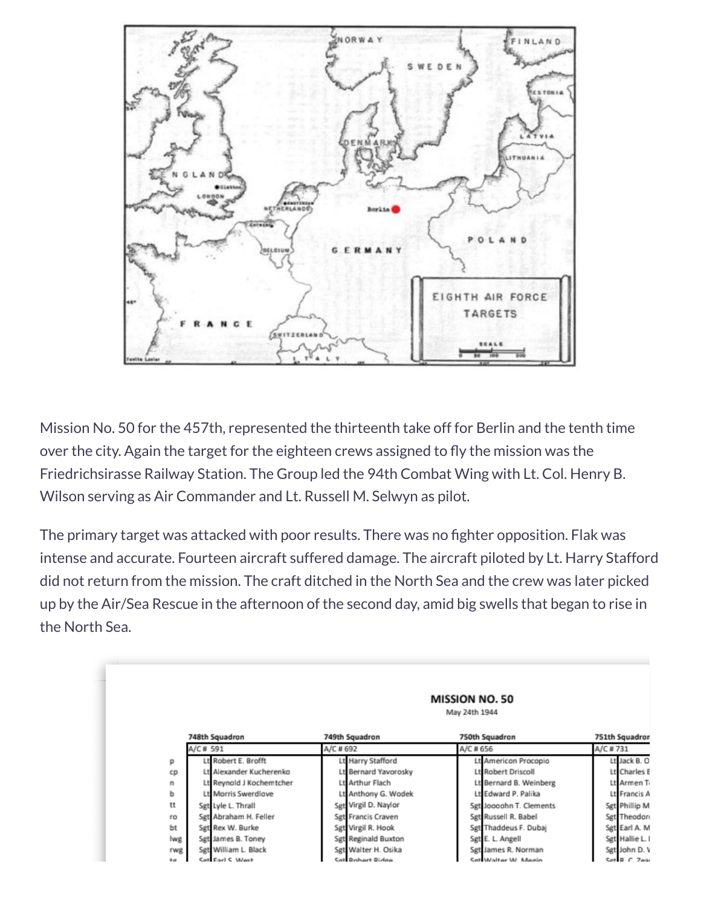

Mission No. 50 for the 457th, represented the thirteenth take off for Berlin and the tenth time over the city. Again the target for the eighteen crews assigned to fly the mission was the Friedrichsirasse Railway Station. The Group led the 94th Combat Wing with Lt. Col. Henry B. Wilson serving as Air Commander and Lt. Russell M. Selwyn as pilot.

The primary target was attacked with poor results. There was no fighter opposition. Flak was intense and accurate. Fourteen aircraft suffered damage. The aircraft piloted by Lt. Harry Stafford did not return from the mission. The craft ditched in the North Sea and the crew was later picked up by the Air/Sea Rescue in the afternoon of the second day, amid big swells that began to rise in the North Sea.

|       | <b>MISSION NO. 50</b><br>May 24th 1944 |                      |                         |                |  |
|-------|----------------------------------------|----------------------|-------------------------|----------------|--|
|       | 748th Squadron                         | 749th Squadron       | 750th Squadron          | 751th Squadror |  |
|       | A/C # 591                              | A/C # 692            | A/C # 656               | A/C # 731      |  |
| р     | Lt Robert E. Brofft                    | Lt Harry Stafford    | Lt American Procopio    | Lt Jack B. O   |  |
| CD    | Lt Alexander Kucherenko                | Lt Bernard Yavorosky | Lt Robert Driscoll      | Lt Charles     |  |
| n     | Lt Reynold J Kochemtcher               | Lt Arthur Flach      | Lt Bernard B. Weinberg  | Lt Armen T     |  |
| ь     | Lt Morris Swerdlove                    | Lt Anthony G. Wodek  | Lt Edward P. Palika     | Lt Francis /   |  |
| tt    | Sgt Lyle L. Thrall                     | Sgt Virgil D. Naylor | Sgt Joooohn T. Clements | Sgt Phillip M  |  |
| ro    | Sgt Abraham H. Feller                  | Sgt Francis Craven   | Sgt Russell R. Babel    | Sgt Theodor    |  |
| bt    | Sgt Rex W. Burke                       | Sgt Virgil R. Hook   | Sgt Thaddeus F. Dubai   | Sgt Earl A. M  |  |
| lwg   | Sgt James B. Toney                     | Sgt Reginald Buxton  | Sgt E. L. Angell        | Sgt Hallie L.  |  |
| rwg   | Sgt William L. Black                   | Sgt Walter H. Osika  | Sgt James R. Norman     | Sgt John D. \  |  |
| they. | <b>Cat Fact C. Mact</b>                | <b>Bohort Bidge</b>  | Sat Walter W. Measo     | Set B C Zea    |  |